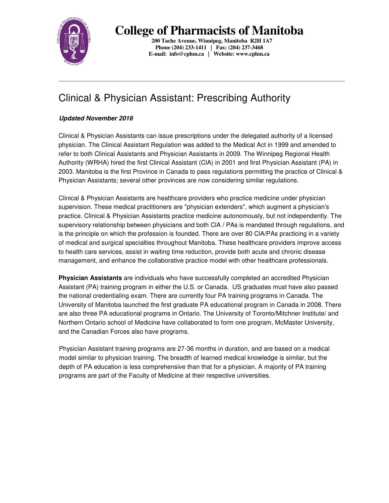

**College of Pharmacists of Manitoba** 

**200 Tache Avenue, Winnipeg, Manitoba R2H 1A7 Phone (204) 233-1411 | Fax: (204) 237-3468 E-mail: info@cphm.ca | Website: www.cphm.ca** 

# Clinical & Physician Assistant: Prescribing Authority

## **Updated November 2016**

Clinical & Physician Assistants can issue prescriptions under the delegated authority of a licensed physician. The Clinical Assistant Regulation was added to the Medical Act in 1999 and amended to refer to both Clinical Assistants and Physician Assistants in 2009. The Winnipeg Regional Health Authority (WRHA) hired the first Clinical Assistant (ClA) in 2001 and first Physician Assistant (PA) in 2003. Manitoba is the first Province in Canada to pass regulations permitting the practice of Clinical & Physician Assistants; several other provinces are now considering similar regulations.

Clinical & Physician Assistants are healthcare providers who practice medicine under physician supervision. These medical practitioners are "physician extenders", which augment a physician's practice. Clinical & Physician Assistants practice medicine autonomously, but not independently. The supervisory relationship between physicians and both ClA / PAs is mandated through regulations, and is the principle on which the profession is founded. There are over 80 ClA/PAs practicing in a variety of medical and surgical specialties throughout Manitoba. These healthcare providers improve access to health care services, assist in waiting time reduction, provide both acute and chronic disease management, and enhance the collaborative practice model with other healthcare professionals.

**Physician Assistants** are individuals who have successfully completed an accredited Physician Assistant (PA) training program in either the U.S. or Canada. US graduates must have also passed the national credentialing exam. There are currently four PA training programs in Canada. The University of Manitoba launched the first graduate PA educational program in Canada in 2008. There are also three PA educational programs in Ontario. The University of Toronto/Mitchner Institute/ and Northern Ontario school of Medicine have collaborated to form one program, McMaster University, and the Canadian Forces also have programs.

Physician Assistant training programs are 27-36 months in duration, and are based on a medical model similar to physician training. The breadth of learned medical knowledge is similar, but the depth of PA education is less comprehensive than that for a physician. A majority of PA training programs are part of the Faculty of Medicine at their respective universities.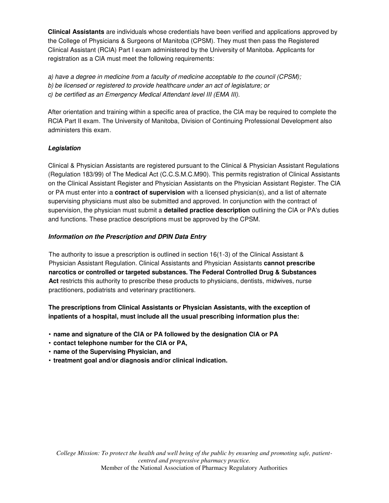**Clinical Assistants** are individuals whose credentials have been verified and applications approved by the College of Physicians & Surgeons of Manitoba (CPSM). They must then pass the Registered Clinical Assistant (RClA) Part I exam administered by the University of Manitoba. Applicants for registration as a ClA must meet the following requirements:

a) have a degree in medicine from a faculty of medicine acceptable to the council (CPSM); b) be licensed or registered to provide healthcare under an act of legislature; or c) be certified as an Emergency Medical Attendant level III (EMA III).

After orientation and training within a specific area of practice, the ClA may be required to complete the RClA Part II exam. The University of Manitoba, Division of Continuing Professional Development also administers this exam.

## **Legislation**

Clinical & Physician Assistants are registered pursuant to the Clinical & Physician Assistant Regulations (Regulation 183/99) of The Medical Act (C.C.S.M.C.M90). This permits registration of Clinical Assistants on the Clinical Assistant Register and Physician Assistants on the Physician Assistant Register. The ClA or PA must enter into a **contract of supervision** with a licensed physician(s), and a list of alternate supervising physicians must also be submitted and approved. In conjunction with the contract of supervision, the physician must submit a **detailed practice description** outlining the ClA or PA's duties and functions. These practice descriptions must be approved by the CPSM.

## **Information on the Prescription and DPIN Data Entry**

The authority to issue a prescription is outlined in section 16(1-3) of the Clinical Assistant & Physician Assistant Regulation. Clinical Assistants and Physician Assistants **cannot prescribe narcotics or controlled or targeted substances. The Federal Controlled Drug & Substances**  Act restricts this authority to prescribe these products to physicians, dentists, midwives, nurse practitioners, podiatrists and veterinary practitioners.

**The prescriptions from Clinical Assistants or Physician Assistants, with the exception of inpatients of a hospital, must include all the usual prescribing information plus the:**

- **name and signature of the ClA or PA followed by the designation ClA or PA**
- **contact telephone number for the ClA or PA,**
- **name of the Supervising Physician, and**
- **treatment goal and/or diagnosis and/or clinical indication.**